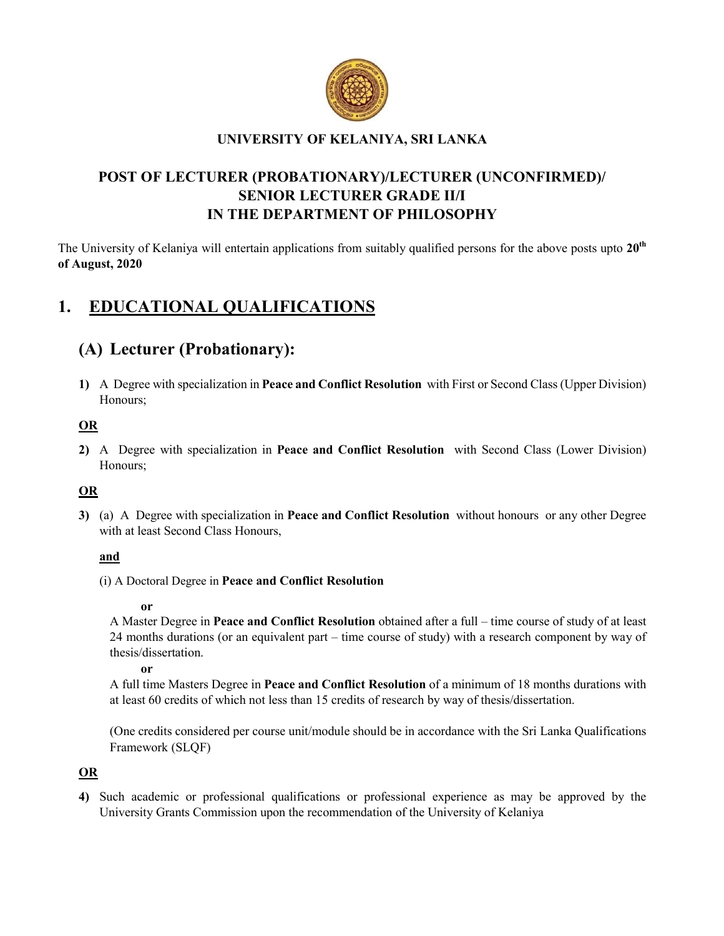

### UNIVERSITY OF KELANIYA, SRI LANKA

# POST OF LECTURER (PROBATIONARY)/LECTURER (UNCONFIRMED)/ SENIOR LECTURER GRADE II/I IN THE DEPARTMENT OF PHILOSOPHY

The University of Kelaniya will entertain applications from suitably qualified persons for the above posts upto  $20<sup>th</sup>$ of August, 2020

# 1. EDUCATIONAL QUALIFICATIONS

# (A) Lecturer (Probationary):

1) A Degree with specialization in Peace and Conflict Resolution with First or Second Class (Upper Division) Honours;

### **OR**

2) A Degree with specialization in Peace and Conflict Resolution with Second Class (Lower Division) Honours;

### OR

3) (a) A Degree with specialization in Peace and Conflict Resolution without honours or any other Degree with at least Second Class Honours,

### and

(i) A Doctoral Degree in Peace and Conflict Resolution

#### or

A Master Degree in Peace and Conflict Resolution obtained after a full – time course of study of at least 24 months durations (or an equivalent part – time course of study) with a research component by way of thesis/dissertation.

#### or

A full time Masters Degree in Peace and Conflict Resolution of a minimum of 18 months durations with at least 60 credits of which not less than 15 credits of research by way of thesis/dissertation.

(One credits considered per course unit/module should be in accordance with the Sri Lanka Qualifications Framework (SLQF)

#### OR

4) Such academic or professional qualifications or professional experience as may be approved by the University Grants Commission upon the recommendation of the University of Kelaniya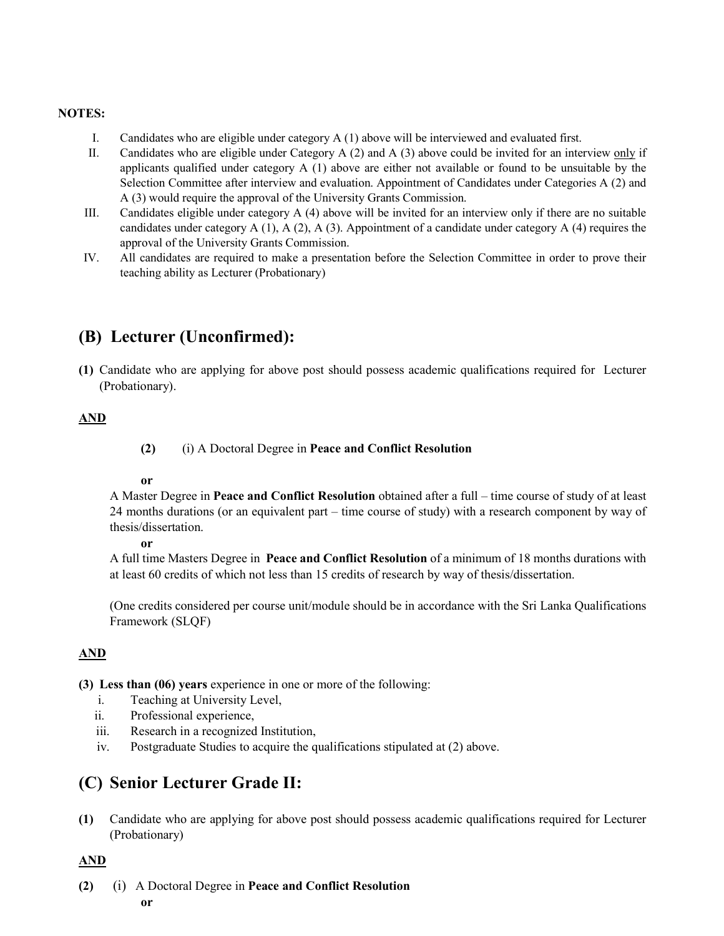#### NOTES:

- I. Candidates who are eligible under category A (1) above will be interviewed and evaluated first.
- II. Candidates who are eligible under Category A (2) and A (3) above could be invited for an interview only if applicants qualified under category  $A(1)$  above are either not available or found to be unsuitable by the Selection Committee after interview and evaluation. Appointment of Candidates under Categories A (2) and A (3) would require the approval of the University Grants Commission.
- III. Candidates eligible under category A (4) above will be invited for an interview only if there are no suitable candidates under category A (1), A (2), A (3). Appointment of a candidate under category A (4) requires the approval of the University Grants Commission.
- IV. All candidates are required to make a presentation before the Selection Committee in order to prove their teaching ability as Lecturer (Probationary)

# (B) Lecturer (Unconfirmed):

(1) Candidate who are applying for above post should possess academic qualifications required for Lecturer (Probationary).

#### AND

(2) (i) A Doctoral Degree in Peace and Conflict Resolution

#### or

A Master Degree in Peace and Conflict Resolution obtained after a full – time course of study of at least 24 months durations (or an equivalent part – time course of study) with a research component by way of thesis/dissertation.

or

A full time Masters Degree in Peace and Conflict Resolution of a minimum of 18 months durations with at least 60 credits of which not less than 15 credits of research by way of thesis/dissertation.

(One credits considered per course unit/module should be in accordance with the Sri Lanka Qualifications Framework (SLQF)

#### AND

(3) Less than (06) years experience in one or more of the following:

- i. Teaching at University Level,
- ii. Professional experience,
- iii. Research in a recognized Institution,
- iv. Postgraduate Studies to acquire the qualifications stipulated at (2) above.

# (C) Senior Lecturer Grade II:

(1) Candidate who are applying for above post should possess academic qualifications required for Lecturer (Probationary)

#### AND

(2) (i) A Doctoral Degree in Peace and Conflict Resolution or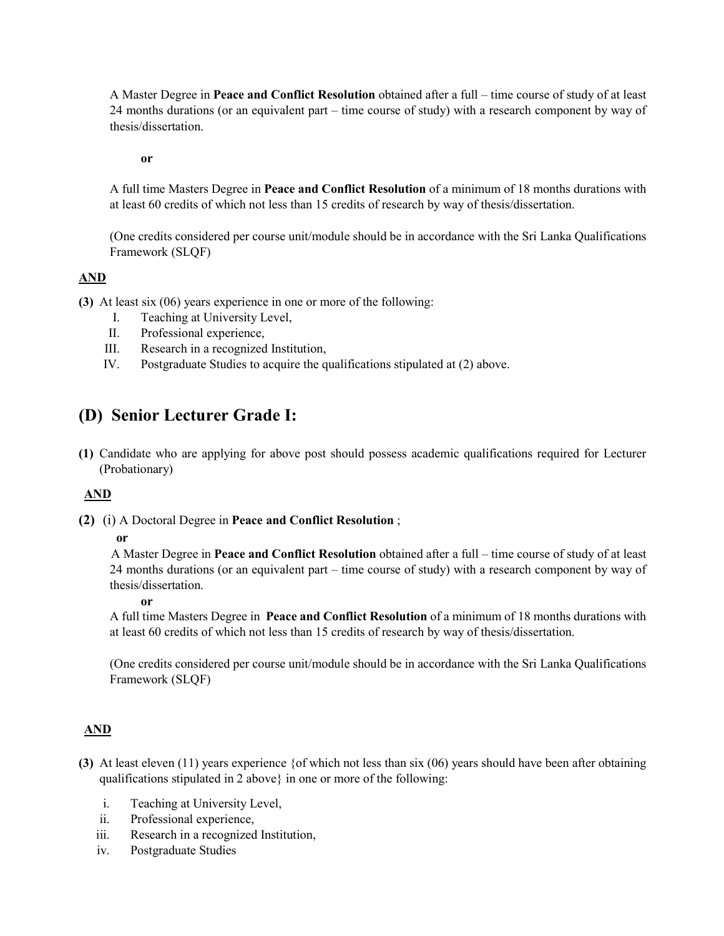A Master Degree in Peace and Conflict Resolution obtained after a full – time course of study of at least 24 months durations (or an equivalent part – time course of study) with a research component by way of thesis/dissertation.

or

A full time Masters Degree in Peace and Conflict Resolution of a minimum of 18 months durations with at least 60 credits of which not less than 15 credits of research by way of thesis/dissertation.

(One credits considered per course unit/module should be in accordance with the Sri Lanka Qualifications Framework (SLQF)

#### AND

(3) At least six (06) years experience in one or more of the following:

- I. Teaching at University Level,
- II. Professional experience,
- III. Research in a recognized Institution,
- IV. Postgraduate Studies to acquire the qualifications stipulated at (2) above.

# (D) Senior Lecturer Grade I:

(1) Candidate who are applying for above post should possess academic qualifications required for Lecturer (Probationary)

### AND

(2) (i) A Doctoral Degree in Peace and Conflict Resolution ;

#### or

A Master Degree in Peace and Conflict Resolution obtained after a full – time course of study of at least 24 months durations (or an equivalent part – time course of study) with a research component by way of thesis/dissertation.

#### or

A full time Masters Degree in Peace and Conflict Resolution of a minimum of 18 months durations with at least 60 credits of which not less than 15 credits of research by way of thesis/dissertation.

(One credits considered per course unit/module should be in accordance with the Sri Lanka Qualifications Framework (SLQF)

#### AND

- (3) At least eleven (11) years experience {of which not less than six (06) years should have been after obtaining qualifications stipulated in 2 above} in one or more of the following:
	- i. Teaching at University Level,
	- ii. Professional experience,
	- iii. Research in a recognized Institution,
	- iv. Postgraduate Studies